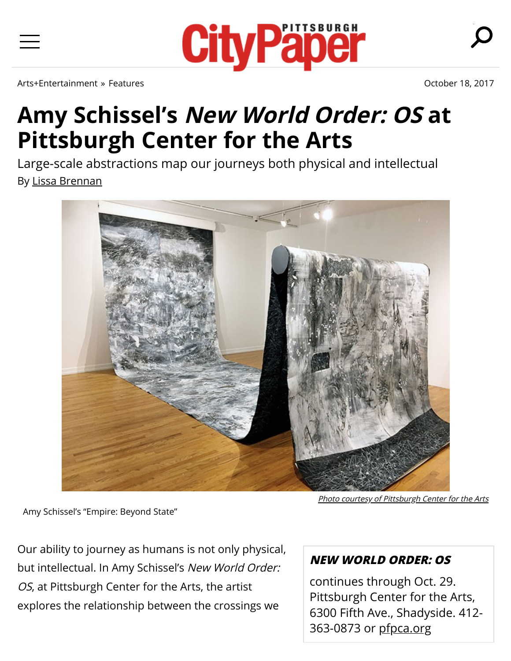[Arts+Entertainment](https://www.pghcitypaper.com/pittsburgh/arts-entertainment/Section?oid=1332451) » [Features](https://www.pghcitypaper.com/pittsburgh/ArticleArchives?category=1332597) [October 18, 2017](https://www.pghcitypaper.com/pittsburgh/IssueArchives?issue=4754294)

## **Amy Schissel's New World Order: OS at Pittsburgh Center for the Arts**

Large-scale abstractions map our journeys both physical and intellectual By [Lissa Brennan](https://www.pghcitypaper.com/author/lissa-brennan)



**[Photo courtesy of Pittsburgh Center for the Arts](https://www.pghcitypaper.com/pittsburgh/ImageArchives?oid=4774980)** 

Amy Schissel's "Empire: Beyond State"

Our ability to journey as humans is not only physical, but intellectual. In Amy Schissel's New World Order: OS, at Pittsburgh Center for the Arts, the artist explores the relationship between the crossings we

## **NEW WORLD ORDER: OS**

continues through Oct. 29. Pittsburgh Center for the Arts, 6300 Fifth Ave., Shadyside. 412- 363-0873 or [pfpca.org](http://www.pfpca.org/)



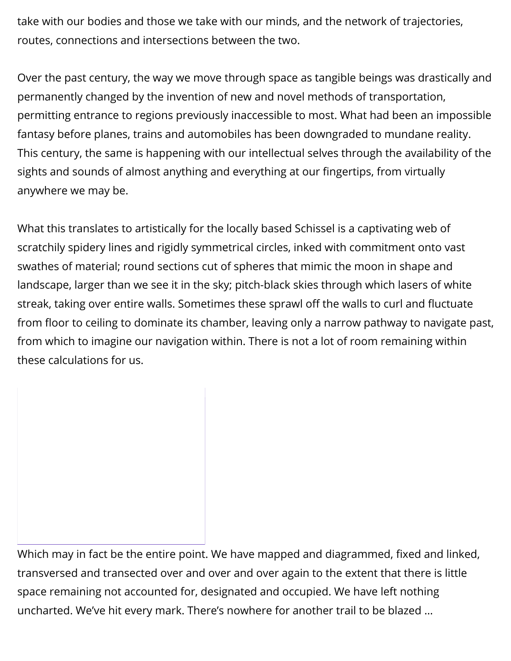take with our bodies and those we take with our minds, and the network of trajectories, routes, connections and intersections between the two.

Over the past century, the way we move through space as tangible beings was drastically and permanently changed by the invention of new and novel methods of transportation, permitting entrance to regions previously inaccessible to most. What had been an impossible fantasy before planes, trains and automobiles has been downgraded to mundane reality. This century, the same is happening with our intellectual selves through the availability of the sights and sounds of almost anything and everything at our fingertips, from virtually anywhere we may be.

What this translates to artistically for the locally based Schissel is a captivating web of scratchily spidery lines and rigidly symmetrical circles, inked with commitment onto vast swathes of material; round sections cut of spheres that mimic the moon in shape and landscape, larger than we see it in the sky; pitch-black skies through which lasers of white streak, taking over entire walls. Sometimes these sprawl off the walls to curl and fluctuate from floor to ceiling to dominate its chamber, leaving only a narrow pathway to navigate past, from which to imagine our navigation within. There is not a lot of room remaining within these calculations for us.

Which may in fact be the entire point. We have mapped and diagrammed, fixed and linked, transversed and transected over and over and over again to the extent that there is little space remaining not accounted for, designated and occupied. We have left nothing uncharted. We've hit every mark. There's nowhere for another trail to be blazed …